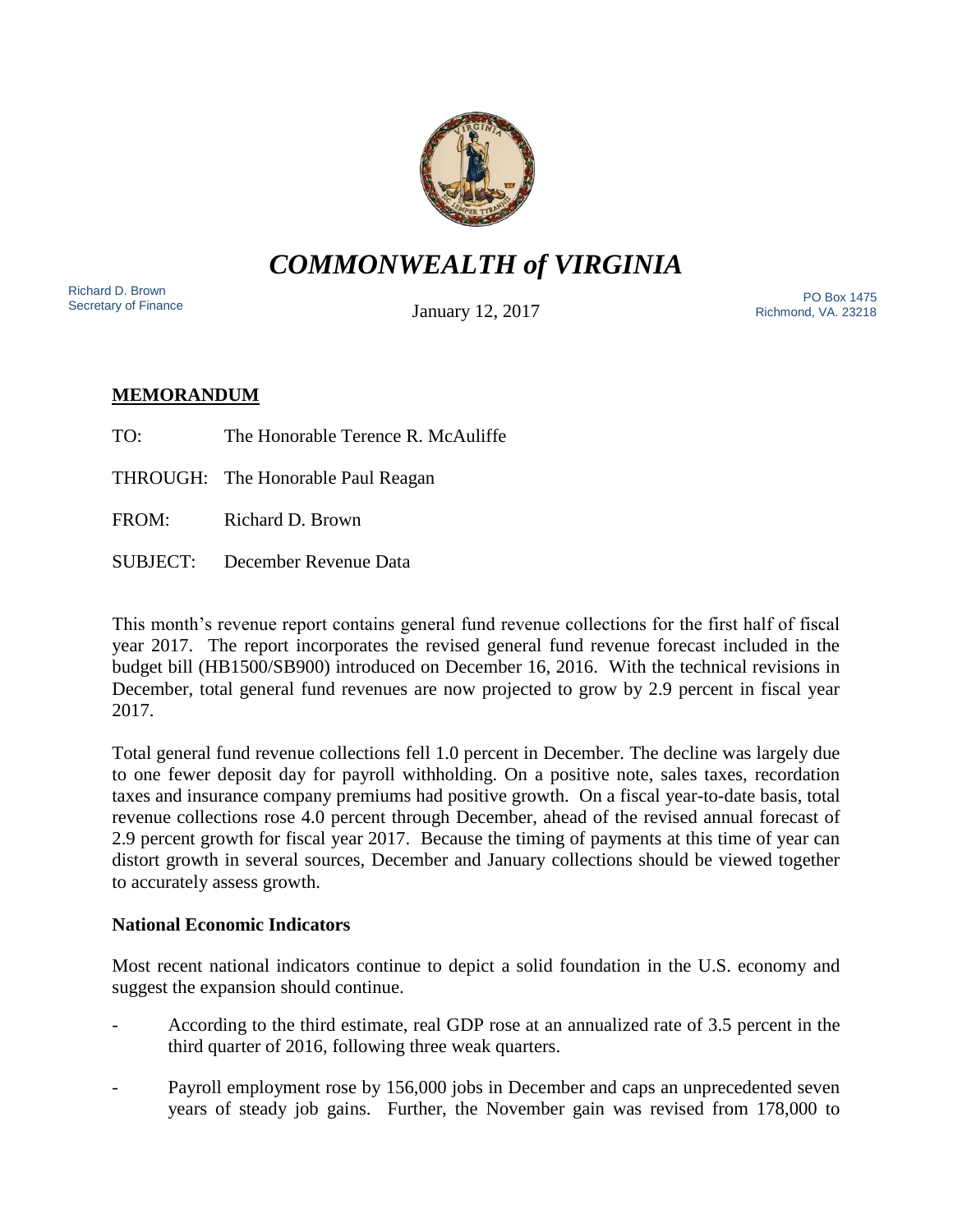

# *COMMONWEALTH of VIRGINIA*

Richard D. Brown<br>Secretary of Finance

January 12, 2017

Secretary of Finance<br>Secretary of Finance **PO Box 1475** Richmond, VA. 23218

# **MEMORANDUM**

TO: The Honorable Terence R. McAuliffe

THROUGH: The Honorable Paul Reagan

FROM: Richard D. Brown

SUBJECT: December Revenue Data

This month's revenue report contains general fund revenue collections for the first half of fiscal year 2017. The report incorporates the revised general fund revenue forecast included in the budget bill (HB1500/SB900) introduced on December 16, 2016. With the technical revisions in December, total general fund revenues are now projected to grow by 2.9 percent in fiscal year 2017.

Total general fund revenue collections fell 1.0 percent in December. The decline was largely due to one fewer deposit day for payroll withholding. On a positive note, sales taxes, recordation taxes and insurance company premiums had positive growth. On a fiscal year-to-date basis, total revenue collections rose 4.0 percent through December, ahead of the revised annual forecast of 2.9 percent growth for fiscal year 2017. Because the timing of payments at this time of year can distort growth in several sources, December and January collections should be viewed together to accurately assess growth.

# **National Economic Indicators**

Most recent national indicators continue to depict a solid foundation in the U.S. economy and suggest the expansion should continue.

- According to the third estimate, real GDP rose at an annualized rate of 3.5 percent in the third quarter of 2016, following three weak quarters.
- Payroll employment rose by 156,000 jobs in December and caps an unprecedented seven years of steady job gains. Further, the November gain was revised from 178,000 to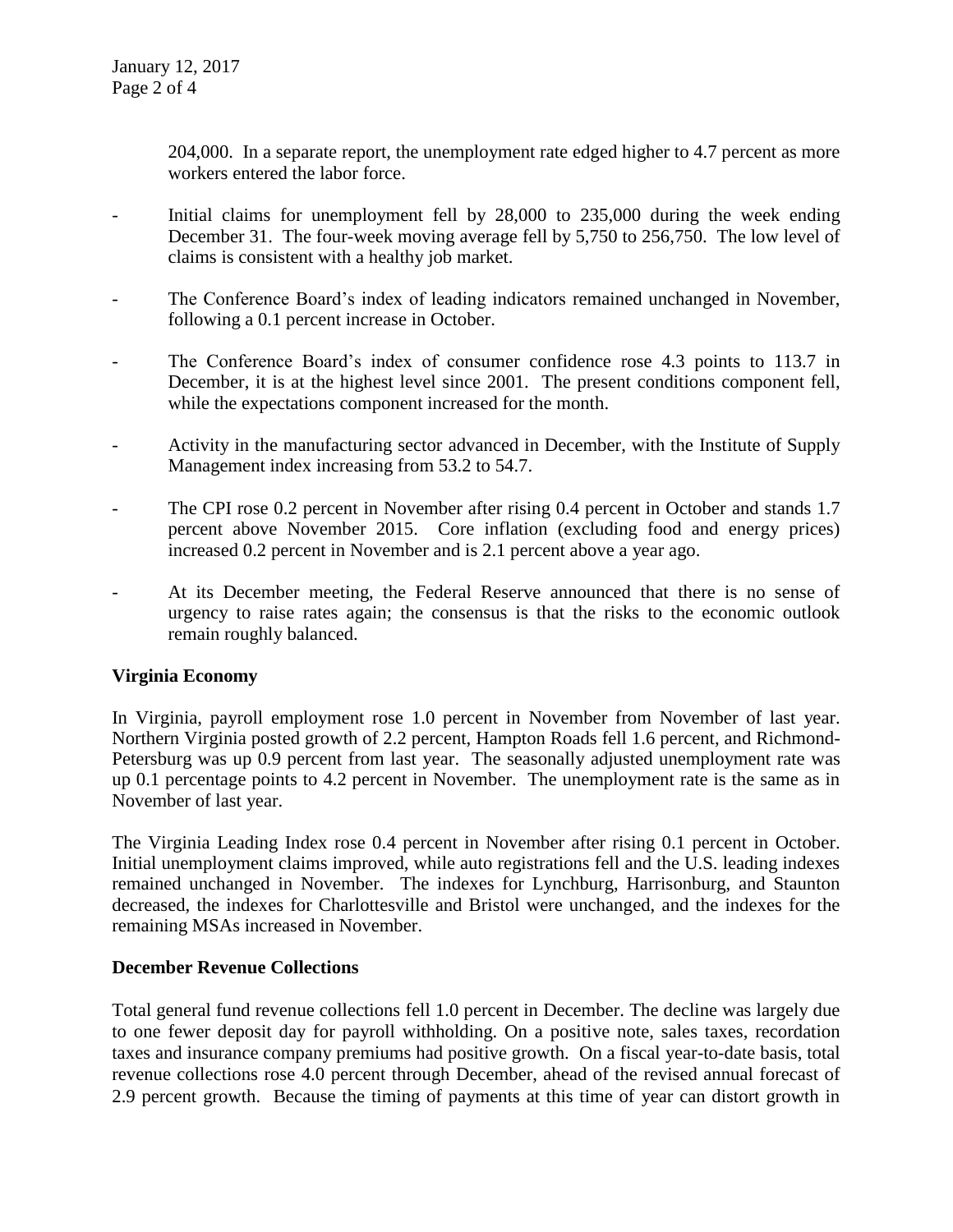204,000. In a separate report, the unemployment rate edged higher to 4.7 percent as more workers entered the labor force.

- Initial claims for unemployment fell by 28,000 to 235,000 during the week ending December 31. The four-week moving average fell by 5,750 to 256,750. The low level of claims is consistent with a healthy job market.
- The Conference Board's index of leading indicators remained unchanged in November, following a 0.1 percent increase in October.
- The Conference Board's index of consumer confidence rose 4.3 points to 113.7 in December, it is at the highest level since 2001. The present conditions component fell, while the expectations component increased for the month.
- Activity in the manufacturing sector advanced in December, with the Institute of Supply Management index increasing from 53.2 to 54.7.
- The CPI rose 0.2 percent in November after rising 0.4 percent in October and stands 1.7 percent above November 2015. Core inflation (excluding food and energy prices) increased 0.2 percent in November and is 2.1 percent above a year ago.
- At its December meeting, the Federal Reserve announced that there is no sense of urgency to raise rates again; the consensus is that the risks to the economic outlook remain roughly balanced.

# **Virginia Economy**

In Virginia, payroll employment rose 1.0 percent in November from November of last year. Northern Virginia posted growth of 2.2 percent, Hampton Roads fell 1.6 percent, and Richmond-Petersburg was up 0.9 percent from last year. The seasonally adjusted unemployment rate was up 0.1 percentage points to 4.2 percent in November. The unemployment rate is the same as in November of last year.

The Virginia Leading Index rose 0.4 percent in November after rising 0.1 percent in October. Initial unemployment claims improved, while auto registrations fell and the U.S. leading indexes remained unchanged in November. The indexes for Lynchburg, Harrisonburg, and Staunton decreased, the indexes for Charlottesville and Bristol were unchanged, and the indexes for the remaining MSAs increased in November.

#### **December Revenue Collections**

Total general fund revenue collections fell 1.0 percent in December. The decline was largely due to one fewer deposit day for payroll withholding. On a positive note, sales taxes, recordation taxes and insurance company premiums had positive growth. On a fiscal year-to-date basis, total revenue collections rose 4.0 percent through December, ahead of the revised annual forecast of 2.9 percent growth. Because the timing of payments at this time of year can distort growth in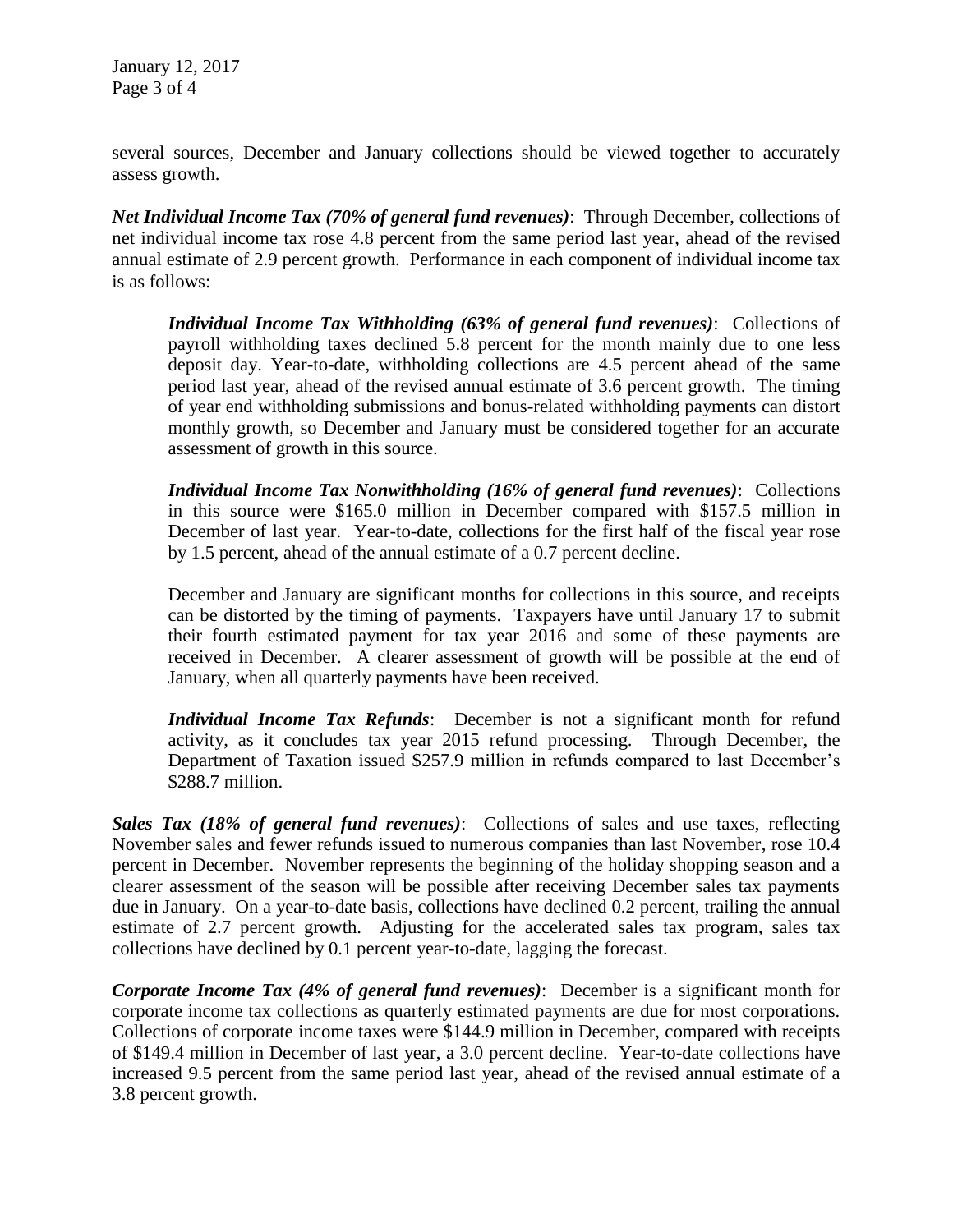January 12, 2017 Page 3 of 4

several sources, December and January collections should be viewed together to accurately assess growth.

*Net Individual Income Tax (70% of general fund revenues)*: Through December, collections of net individual income tax rose 4.8 percent from the same period last year, ahead of the revised annual estimate of 2.9 percent growth. Performance in each component of individual income tax is as follows:

*Individual Income Tax Withholding (63% of general fund revenues)*: Collections of payroll withholding taxes declined 5.8 percent for the month mainly due to one less deposit day. Year-to-date, withholding collections are 4.5 percent ahead of the same period last year, ahead of the revised annual estimate of 3.6 percent growth. The timing of year end withholding submissions and bonus-related withholding payments can distort monthly growth, so December and January must be considered together for an accurate assessment of growth in this source.

*Individual Income Tax Nonwithholding (16% of general fund revenues)*: Collections in this source were \$165.0 million in December compared with \$157.5 million in December of last year. Year-to-date, collections for the first half of the fiscal year rose by 1.5 percent, ahead of the annual estimate of a 0.7 percent decline.

December and January are significant months for collections in this source, and receipts can be distorted by the timing of payments. Taxpayers have until January 17 to submit their fourth estimated payment for tax year 2016 and some of these payments are received in December. A clearer assessment of growth will be possible at the end of January, when all quarterly payments have been received.

*Individual Income Tax Refunds*: December is not a significant month for refund activity, as it concludes tax year 2015 refund processing. Through December, the Department of Taxation issued \$257.9 million in refunds compared to last December's \$288.7 million.

*Sales Tax (18% of general fund revenues)*: Collections of sales and use taxes, reflecting November sales and fewer refunds issued to numerous companies than last November, rose 10.4 percent in December. November represents the beginning of the holiday shopping season and a clearer assessment of the season will be possible after receiving December sales tax payments due in January. On a year-to-date basis, collections have declined 0.2 percent, trailing the annual estimate of 2.7 percent growth. Adjusting for the accelerated sales tax program, sales tax collections have declined by 0.1 percent year-to-date, lagging the forecast.

*Corporate Income Tax (4% of general fund revenues)*: December is a significant month for corporate income tax collections as quarterly estimated payments are due for most corporations. Collections of corporate income taxes were \$144.9 million in December, compared with receipts of \$149.4 million in December of last year, a 3.0 percent decline. Year-to-date collections have increased 9.5 percent from the same period last year, ahead of the revised annual estimate of a 3.8 percent growth.